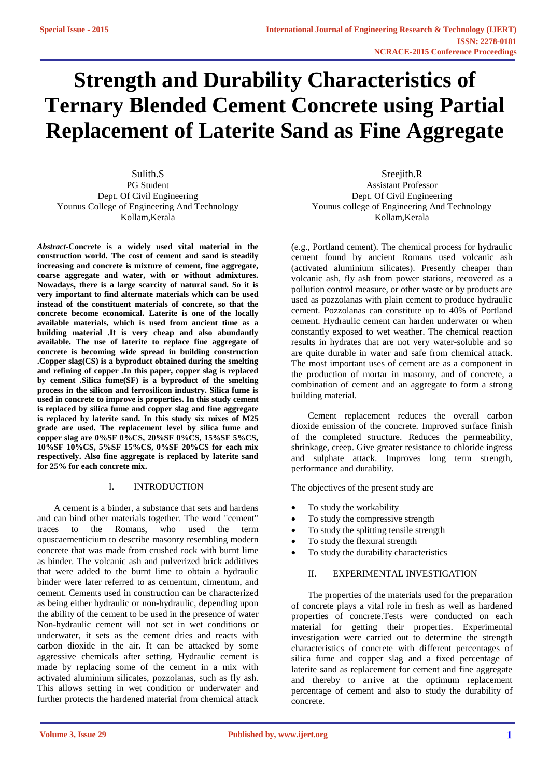# **Strength and Durability Characteristics of Ternary Blended Cement Concrete using Partial Replacement of Laterite Sand as Fine Aggregate**

Sulith.S PG Student Dept. Of Civil Engineering Younus College of Engineering And Technology Kollam,Kerala

*Abstract***-Concrete is a widely used vital material in the construction world. The cost of cement and sand is steadily increasing and concrete is mixture of cement, fine aggregate, coarse aggregate and water, with or without admixtures. Nowadays, there is a large scarcity of natural sand. So it is very important to find alternate materials which can be used instead of the constituent materials of concrete, so that the concrete become economical. Laterite is one of the locally available materials, which is used from ancient time as a building material .It is very cheap and also abundantly available. The use of laterite to replace fine aggregate of concrete is becoming wide spread in building construction .Copper slag(CS) is a byproduct obtained during the smelting and refining of copper .In this paper, copper slag is replaced by cement .Silica fume(SF) is a byproduct of the smelting process in the silicon and ferrosilicon industry. Silica fume is used in concrete to improve is properties. In this study cement is replaced by silica fume and copper slag and fine aggregate is replaced by laterite sand. In this study six mixes of M25 grade are used. The replacement level by silica fume and copper slag are 0%SF 0%CS, 20%SF 0%CS, 15%SF 5%CS, 10%SF 10%CS, 5%SF 15%CS, 0%SF 20%CS for each mix respectively. Also fine aggregate is replaced by laterite sand for 25% for each concrete mix.**

# I. INTRODUCTION

A cement is a binder, a substance that sets and hardens and can bind other materials together. The word "cement" traces to the Romans, who used the term opuscaementicium to describe masonry resembling modern concrete that was made from crushed rock with burnt lime as binder. The volcanic ash and pulverized brick additives that were added to the burnt lime to obtain a hydraulic binder were later referred to as cementum, cimentum, and cement. Cements used in construction can be characterized as being either hydraulic or non-hydraulic, depending upon the ability of the cement to be used in the presence of water Non-hydraulic cement will not set in wet conditions or underwater, it sets as the cement dries and reacts with carbon dioxide in the air. It can be attacked by some aggressive chemicals after setting. Hydraulic cement is made by replacing some of the cement in a mix with activated aluminium silicates, pozzolanas, such as fly ash. This allows setting in wet condition or underwater and further protects the hardened material from chemical attack

Sreejith.R Assistant Professor Dept. Of Civil Engineering Younus college of Engineering And Technology Kollam,Kerala

(e.g., Portland cement). The chemical process for hydraulic cement found by ancient Romans used volcanic ash (activated aluminium silicates). Presently cheaper than volcanic ash, fly ash from power stations, recovered as a pollution control measure, or other waste or by products are used as pozzolanas with plain cement to produce hydraulic cement. Pozzolanas can constitute up to 40% of Portland cement. Hydraulic cement can harden underwater or when constantly exposed to wet weather. The chemical reaction results in hydrates that are not very water-soluble and so are quite durable in water and safe from chemical attack. The most important uses of cement are as a component in the production of mortar in masonry, and of concrete, a combination of cement and an aggregate to form a strong building material.

Cement replacement reduces the overall carbon dioxide emission of the concrete. Improved surface finish of the completed structure. Reduces the permeability, shrinkage, creep. Give greater resistance to chloride ingress and sulphate attack. Improves long term strength, performance and durability.

The objectives of the present study are

- To study the workability
- To study the compressive strength
- To study the splitting tensile strength
- To study the flexural strength
- To study the durability characteristics

## II. EXPERIMENTAL INVESTIGATION

The properties of the materials used for the preparation of concrete plays a vital role in fresh as well as hardened properties of concrete.Tests were conducted on each material for getting their properties. Experimental investigation were carried out to determine the strength characteristics of concrete with different percentages of silica fume and copper slag and a fixed percentage of laterite sand as replacement for cement and fine aggregate and thereby to arrive at the optimum replacement percentage of cement and also to study the durability of concrete.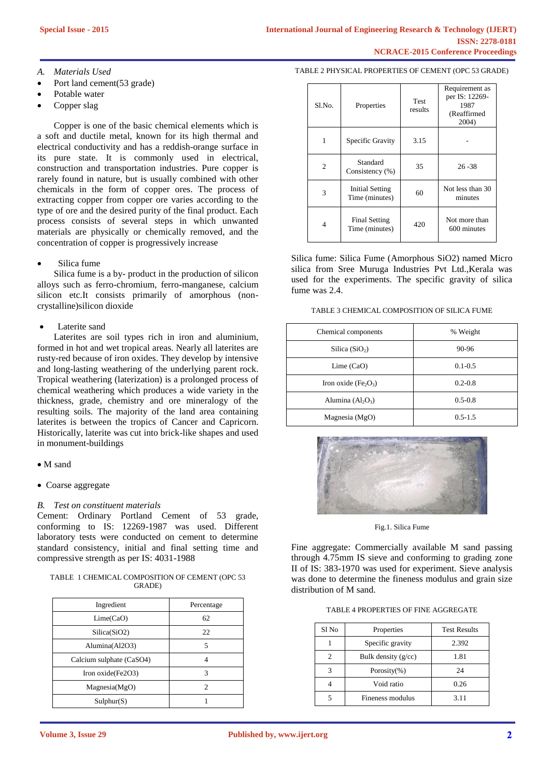# *A. Materials Used*

- Port land cement(53 grade)
- Potable water
- Copper slag

Copper is one of the basic chemical elements which is a soft and ductile metal, known for its high thermal and electrical conductivity and has a reddish-orange surface in its pure state. It is commonly used in electrical, construction and transportation industries. Pure copper is rarely found in nature, but is usually combined with other chemicals in the form of copper ores. The process of extracting copper from copper ore varies according to the type of ore and the desired purity of the final product. Each process consists of several steps in which unwanted materials are physically or chemically removed, and the concentration of copper is progressively increase

Silica fume

Silica fume is a by- product in the production of silicon alloys such as ferro-chromium, ferro-manganese, calcium silicon etc.It consists primarily of amorphous (noncrystalline)silicon dioxide

# Laterite sand

Laterites are soil types rich in iron and aluminium, formed in hot and wet tropical areas. Nearly all laterites are rusty-red because of iron oxides. They develop by intensive and long-lasting weathering of the underlying parent rock. Tropical weathering (laterization) is a prolonged process of chemical weathering which produces a wide variety in the thickness, grade, chemistry and ore mineralogy of the resulting soils. The majority of the land area containing laterites is between the tropics of Cancer and Capricorn. Historically, laterite was cut into brick-like shapes and used in monument-buildings

# • M sand

Coarse aggregate

# *B. Test on constituent materials*

Cement: Ordinary Portland Cement of 53 grade, conforming to IS: 12269-1987 was used. Different laboratory tests were conducted on cement to determine standard consistency, initial and final setting time and compressive strength as per IS: 4031-1988

TABLE 1 CHEMICAL COMPOSITION OF CEMENT (OPC 53 GRADE)

| Ingredient               | Percentage                  |
|--------------------------|-----------------------------|
| Lime(CaO)                | 62                          |
| Silica(SiO2)             | 22                          |
| Alumina(Al2O3)           | 5                           |
| Calcium sulphate (CaSO4) |                             |
| Iron oxide(Fe2O3)        | 3                           |
| Magnesia(MgO)            | $\mathcal{D}_{\mathcal{A}}$ |
| Sulphur(S)               |                             |

#### TABLE 2 PHYSICAL PROPERTIES OF CEMENT (OPC 53 GRADE)

| $S1$ . No.     | Properties                               | <b>Test</b><br>results | Requirement as<br>per IS: 12269-<br>1987<br>(Reaffirmed<br>2004) |
|----------------|------------------------------------------|------------------------|------------------------------------------------------------------|
| 1              | Specific Gravity                         | 3.15                   |                                                                  |
| $\overline{c}$ | Standard<br>Consistency (%)              | 35                     | $26 - 38$                                                        |
| 3              | <b>Initial Setting</b><br>Time (minutes) | 60                     | Not less than 30<br>minutes                                      |
| 4              | <b>Final Setting</b><br>Time (minutes)   | 420                    | Not more than<br>600 minutes                                     |

Silica fume: Silica Fume (Amorphous SiO2) named Micro silica from Sree Muruga Industries Pvt Ltd.,Kerala was used for the experiments. The specific gravity of silica fume was 2.4.

TABLE 3 CHEMICAL COMPOSITION OF SILICA FUME

| Chemical components  | % Weight    |
|----------------------|-------------|
| Silica $(SiO2)$      | 90-96       |
| Lime $(CaO)$         | $0.1 - 0.5$ |
| Iron oxide $(Fe2O3)$ | $0.2 - 0.8$ |
| Alumina $(Al_2O_3)$  | $0.5 - 0.8$ |
| Magnesia (MgO)       | $0.5 - 1.5$ |



Fig.1. Silica Fume

Fine aggregate: Commercially available M sand passing through 4.75mm IS sieve and conforming to grading zone II of IS: 383-1970 was used for experiment. Sieve analysis was done to determine the fineness modulus and grain size distribution of M sand.

TABLE 4 PROPERTIES OF FINE AGGREGATE

| Sl No | Properties            | <b>Test Results</b> |
|-------|-----------------------|---------------------|
|       | Specific gravity      | 2.392               |
| 2     | Bulk density $(g/cc)$ | 1.81                |
|       | Porosity $(\% )$      | 24                  |
|       | Void ratio            | 0.26                |
|       | Fineness modulus      | 3.11                |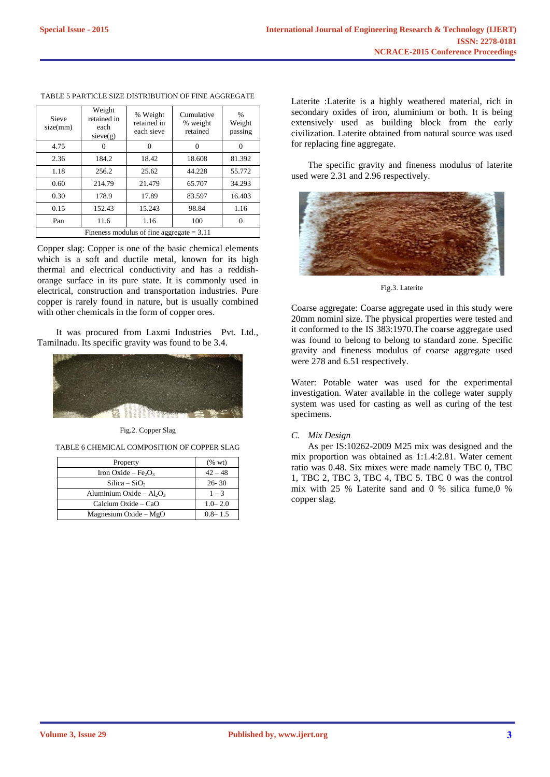| <b>Sieve</b><br>size(mm)                    | Weight<br>retained in<br>each<br>sieve(g) | % Weight<br>retained in<br>each sieve | Cumulative<br>% weight<br>retained | $\frac{0}{0}$<br>Weight<br>passing |
|---------------------------------------------|-------------------------------------------|---------------------------------------|------------------------------------|------------------------------------|
| 4.75                                        |                                           |                                       |                                    |                                    |
| 2.36                                        | 184.2                                     | 18.42                                 | 18.608                             | 81.392                             |
| 1.18                                        | 256.2                                     | 25.62                                 | 44.228                             | 55.772                             |
| 0.60                                        | 214.79                                    | 21.479                                | 65.707                             | 34.293                             |
| 0.30                                        | 178.9                                     | 17.89                                 | 83.597                             | 16.403                             |
| 0.15                                        | 152.43                                    | 15.243                                | 98.84                              | 1.16                               |
| Pan                                         | 11.6                                      | 1.16                                  | 100                                |                                    |
| Fineness modulus of fine aggregate $= 3.11$ |                                           |                                       |                                    |                                    |

#### TABLE 5 PARTICLE SIZE DISTRIBUTION OF FINE AGGREGATE

Copper slag: Copper is one of the basic chemical elements which is a soft and ductile metal, known for its high thermal and electrical conductivity and has a reddishorange surface in its pure state. It is commonly used in electrical, construction and transportation industries. Pure copper is rarely found in nature, but is usually combined with other chemicals in the form of copper ores.

It was procured from Laxmi Industries Pvt. Ltd., Tamilnadu. Its specific gravity was found to be 3.4.



Fig.2. Copper Slag

TABLE 6 CHEMICAL COMPOSITION OF COPPER SLAG

| Property                                    | $(\%$ wt)   |
|---------------------------------------------|-------------|
| Iron Oxide – Fe <sub>2</sub> O <sub>3</sub> | $42 - 48$   |
| $Silica-SiO2$                               | $26 - 30$   |
| Aluminium Oxide – $Al_2O_3$                 | $1 - 3$     |
| Calcium Oxide – CaO                         | $1.0 - 2.0$ |
| Magnesium Oxide $-MgO$                      | $0.8 - 1.5$ |

Laterite :Laterite is a highly weathered material, rich in secondary oxides of iron, aluminium or both. It is being extensively used as building block from the early civilization. Laterite obtained from natural source was used for replacing fine aggregate.

The specific gravity and fineness modulus of laterite used were 2.31 and 2.96 respectively.



Fig.3. Laterite

Coarse aggregate: Coarse aggregate used in this study were 20mm nominl size. The physical properties were tested and it conformed to the IS 383:1970.The coarse aggregate used was found to belong to belong to standard zone. Specific gravity and fineness modulus of coarse aggregate used were 278 and 6.51 respectively.

Water: Potable water was used for the experimental investigation. Water available in the college water supply system was used for casting as well as curing of the test specimens.

#### *C. Mix Design*

As per IS:10262-2009 M25 mix was designed and the mix proportion was obtained as 1:1.4:2.81. Water cement ratio was 0.48. Six mixes were made namely TBC 0, TBC 1, TBC 2, TBC 3, TBC 4, TBC 5. TBC 0 was the control mix with 25 % Laterite sand and 0 % silica fume,0 % copper slag.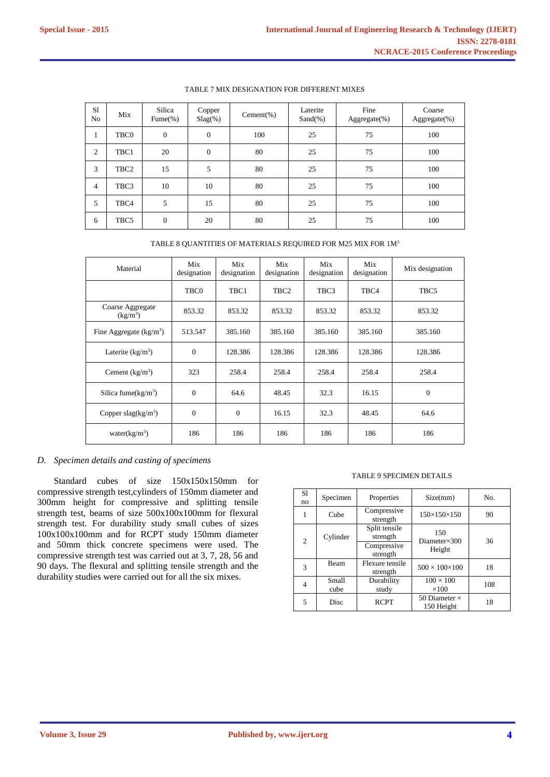| S1<br>No       | Mix              | Silica<br>$Func$ %) | Copper<br>$Slag(\%)$ | $Cement(\%)$ | Laterite<br>$Sand(\% )$ | Fine<br>Aggregate(%) | Coarse<br>Aggregate(%) |
|----------------|------------------|---------------------|----------------------|--------------|-------------------------|----------------------|------------------------|
| $\pm$          | TBC0             | $\mathbf{0}$        | $\mathbf{0}$         | 100          | 25                      | 75                   | 100                    |
| 2              | TBC1             | 20                  | $\mathbf{0}$         | 80           | 25                      | 75                   | 100                    |
| 3              | TBC <sub>2</sub> | 15                  | 5                    | 80           | 25                      | 75                   | 100                    |
| $\overline{4}$ | TBC3             | 10                  | 10                   | 80           | 25                      | 75                   | 100                    |
| 5              | TBC4             | 5                   | 15                   | 80           | 25                      | 75                   | 100                    |
| 6              | TBC5             | $\overline{0}$      | 20                   | 80           | 25                      | 75                   | 100                    |

### TABLE 7 MIX DESIGNATION FOR DIFFERENT MIXES

TABLE 8 QUANTITIES OF MATERIALS REQUIRED FOR M25 MIX FOR 1M<sup>3</sup>

| Material                                 | Mix<br>designation | Mix<br>designation | Mix<br>designation | Mix<br>designation | Mix<br>designation | Mix designation |
|------------------------------------------|--------------------|--------------------|--------------------|--------------------|--------------------|-----------------|
|                                          | TBC0               | TBC1               | TBC <sub>2</sub>   | TBC3               | TBC4               | TBC5            |
| Coarse Aggregate<br>(kg/m <sup>3</sup> ) | 853.32             | 853.32             | 853.32             | 853.32             | 853.32             | 853.32          |
| Fine Aggregate $(kg/m3)$                 | 513.547            | 385.160            | 385.160            | 385.160            | 385.160            | 385.160         |
| Laterite $(kg/m3)$                       | $\mathbf{0}$       | 128.386            | 128.386            | 128.386            | 128.386            | 128.386         |
| Cement $(kg/m3)$                         | 323                | 258.4              | 258.4              | 258.4              | 258.4              | 258.4           |
| Silica fume( $kg/m3$ )                   | $\overline{0}$     | 64.6               | 48.45              | 32.3               | 16.15              | $\overline{0}$  |
| Copper slag( $kg/m3$ )                   | $\Omega$           | $\Omega$           | 16.15              | 32.3               | 48.45              | 64.6            |
| water $(kg/m^3)$                         | 186                | 186                | 186                | 186                | 186                | 186             |

# *D. Specimen details and casting of specimens*

Standard cubes of size 150x150x150mm for compressive strength test,cylinders of 150mm diameter and 300mm height for compressive and splitting tensile strength test, beams of size 500x100x100mm for flexural strength test. For durability study small cubes of sizes 100x100x100mm and for RCPT study 150mm diameter and 50mm thick concrete specimens were used. The compressive strength test was carried out at 3, 7, 28, 56 and 90 days. The flexural and splitting tensile strength and the durability studies were carried out for all the six mixes.

#### TABLE 9 SPECIMEN DETAILS

| S1<br>no       | Specimen      | Properties                  | Size(mm)                           | No. |
|----------------|---------------|-----------------------------|------------------------------------|-----|
|                | Cube          | Compressive<br>strength     | $150\times150\times150$            | 90  |
| $\overline{c}$ | Cylinder      | Split tensile<br>strength   | 150<br>Diameter $\times$ 300       | 36  |
|                |               | Compressive<br>strength     | Height                             |     |
| 3              | Beam          | Flexure tensile<br>strength | $500 \times 100 \times 100$        | 18  |
| 4              | Small<br>cube | Durability<br>study         | $100 \times 100$<br>$\times$ 100   | 108 |
| 5              | Disc          | <b>RCPT</b>                 | 50 Diameter $\times$<br>150 Height | 18  |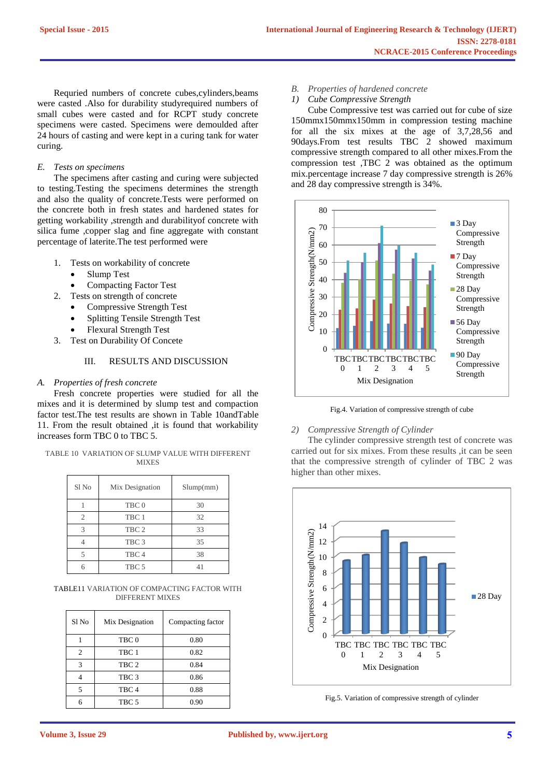Requried numbers of concrete cubes,cylinders,beams were casted .Also for durability studyrequired numbers of small cubes were casted and for RCPT study concrete specimens were casted. Specimens were demoulded after 24 hours of casting and were kept in a curing tank for water curing.

# *E. Tests on specimens*

The specimens after casting and curing were subjected to testing.Testing the specimens determines the strength and also the quality of concrete.Tests were performed on the concrete both in fresh states and hardened states for getting workability ,strength and durabilityof concrete with silica fume ,copper slag and fine aggregate with constant percentage of laterite.The test performed were

- 1. Tests on workability of concrete
	- Slump Test
	- Compacting Factor Test
- 2. Tests on strength of concrete
	- Compressive Strength Test
	- Splitting Tensile Strength Test
	- Flexural Strength Test
- 3. Test on Durability Of Concete

# III. RESULTS AND DISCUSSION

#### *A. Properties of fresh concrete*

Fresh concrete properties were studied for all the mixes and it is determined by slump test and compaction factor test.The test results are shown in Table 10andTable 11. From the result obtained ,it is found that workability increases form TBC 0 to TBC 5.

TABLE 10 VARIATION OF SLUMP VALUE WITH DIFFERENT **MIXES** 

| Sl No          | Mix Designation  | Slump(mm) |
|----------------|------------------|-----------|
|                | TBC <sub>0</sub> | 30        |
| $\overline{c}$ | TBC 1            | 32        |
| 3              | TBC <sub>2</sub> | 33        |
|                | TBC <sub>3</sub> | 35        |
| 5              | TBC <sub>4</sub> | 38        |
|                | TBC <sub>5</sub> |           |
|                |                  |           |

TABLE11 VARIATION OF COMPACTING FACTOR WITH DIFFERENT MIXES

| Sl <sub>No</sub> | Mix Designation  | Compacting factor |
|------------------|------------------|-------------------|
|                  | TBC <sub>0</sub> | 0.80              |
| 2                | TBC <sub>1</sub> | 0.82              |
| $\mathcal{R}$    | TBC <sub>2</sub> | 0.84              |
|                  | TBC <sub>3</sub> | 0.86              |
| 5                | TBC <sub>4</sub> | 0.88              |
|                  | TBC 5            | 0.90              |

- *B. Properties of hardened concrete*
- *1) Cube Compressive Strength*

Cube Compressive test was carried out for cube of size 150mmx150mmx150mm in compression testing machine for all the six mixes at the age of 3,7,28,56 and 90days.From test results TBC  $\overline{2}$  showed maximum compressive strength compared to all other mixes.From the compression test ,TBC 2 was obtained as the optimum mix.percentage increase 7 day compressive strength is 26% and 28 day compressive strength is 34%.



Fig.4. Variation of compressive strength of cube

#### *2) Compressive Strength of Cylinder*

The cylinder compressive strength test of concrete was carried out for six mixes. From these results ,it can be seen that the compressive strength of cylinder of TBC 2 was higher than other mixes.



Fig.5. Variation of compressive strength of cylinder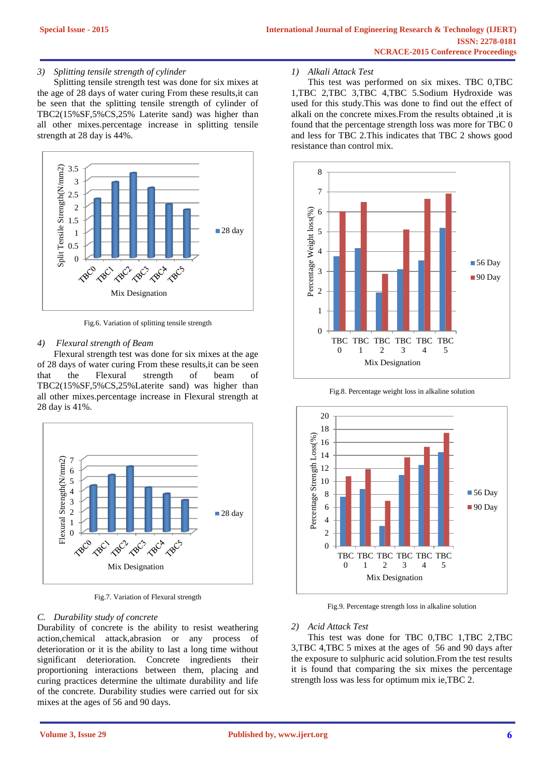## *3) Splitting tensile strength of cylinder*

Splitting tensile strength test was done for six mixes at the age of 28 days of water curing From these results,it can be seen that the splitting tensile strength of cylinder of TBC2(15%SF,5%CS,25% Laterite sand) was higher than all other mixes.percentage increase in splitting tensile strength at 28 day is 44%.



Fig.6. Variation of splitting tensile strength

#### *4) Flexural strength of Beam*

Flexural strength test was done for six mixes at the age of 28 days of water curing From these results,it can be seen that the Flexural strength of beam of TBC2(15%SF,5%CS,25%Laterite sand) was higher than all other mixes.percentage increase in Flexural strength at 28 day is 41%.



Fig.7. Variation of Flexural strength

## *C. Durability study of concrete*

Durability of concrete is the ability to resist weathering action,chemical attack,abrasion or any process of deterioration or it is the ability to last a long time without significant deterioration. Concrete ingredients their proportioning interactions between them, placing and curing practices determine the ultimate durability and life of the concrete. Durability studies were carried out for six mixes at the ages of 56 and 90 days.

#### *1) Alkali Attack Test*

This test was performed on six mixes. TBC 0,TBC 1,TBC 2,TBC 3,TBC 4,TBC 5.Sodium Hydroxide was used for this study.This was done to find out the effect of alkali on the concrete mixes.From the results obtained ,it is found that the percentage strength loss was more for TBC 0 and less for TBC 2.This indicates that TBC 2 shows good resistance than control mix.



Fig.8. Percentage weight loss in alkaline solution



Fig.9. Percentage strength loss in alkaline solution

#### *2) Acid Attack Test*

This test was done for TBC 0,TBC 1,TBC 2,TBC 3,TBC 4,TBC 5 mixes at the ages of 56 and 90 days after the exposure to sulphuric acid solution.From the test results it is found that comparing the six mixes the percentage strength loss was less for optimum mix ie,TBC 2.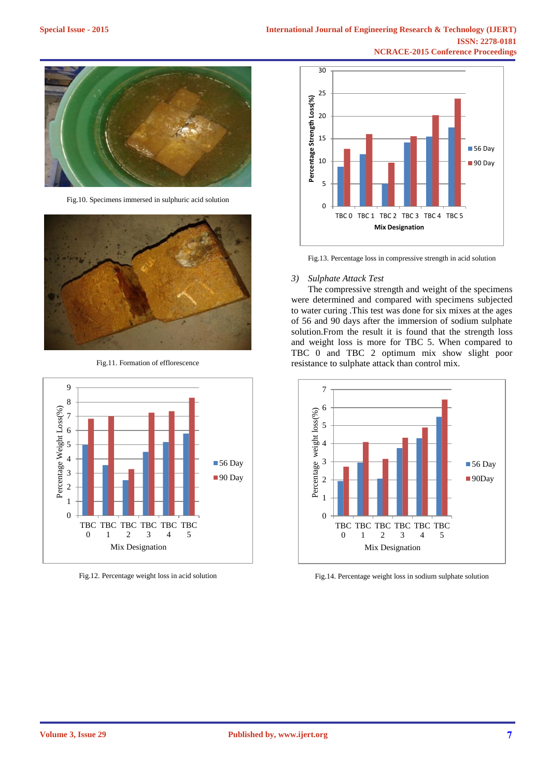

Fig.10. Specimens immersed in sulphuric acid solution



Fig.11. Formation of efflorescence



Fig.12. Percentage weight loss in acid solution



Fig.13. Percentage loss in compressive strength in acid solution

# *3) Sulphate Attack Test*

The compressive strength and weight of the specimens were determined and compared with specimens subjected to water curing .This test was done for six mixes at the ages of 56 and 90 days after the immersion of sodium sulphate solution.From the result it is found that the strength loss and weight loss is more for TBC 5. When compared to TBC 0 and TBC 2 optimum mix show slight poor resistance to sulphate attack than control mix.



Fig.14. Percentage weight loss in sodium sulphate solution